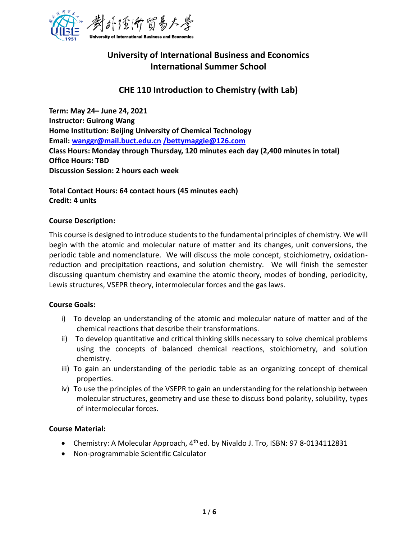

# **University of International Business and Economics International Summer School**

# **CHE 110 Introduction to Chemistry (with Lab)**

**Term: May 24– June 24, 2021 Instructor: Guirong Wang Home Institution: Beijing University of Chemical Technology Email: [wanggr@mail.buct.edu.cn](mailto:wanggr@mail.buct.edu.cn) [/bettymaggie@126.com](mailto:/bettymaggie@126.com) Class Hours: Monday through Thursday, 120 minutes each day (2,400 minutes in total) Office Hours: TBD Discussion Session: 2 hours each week**

**Total Contact Hours: 64 contact hours (45 minutes each) Credit: 4 units**

#### **Course Description:**

This course is designed to introduce students to the fundamental principles of chemistry. We will begin with the atomic and molecular nature of matter and its changes, unit conversions, the periodic table and nomenclature. We will discuss the mole concept, stoichiometry, oxidationreduction and precipitation reactions, and solution chemistry. We will finish the semester discussing quantum chemistry and examine the atomic theory, modes of bonding, periodicity, Lewis structures, VSEPR theory, intermolecular forces and the gas laws.

#### **Course Goals:**

- i) To develop an understanding of the atomic and molecular nature of matter and of the chemical reactions that describe their transformations.
- ii) To develop quantitative and critical thinking skills necessary to solve chemical problems using the concepts of balanced chemical reactions, stoichiometry, and solution chemistry.
- iii) To gain an understanding of the periodic table as an organizing concept of chemical properties.
- iv) To use the principles of the VSEPR to gain an understanding for the relationship between molecular structures, geometry and use these to discuss bond polarity, solubility, types of intermolecular forces.

#### **Course Material:**

- Chemistry: A Molecular Approach,  $4<sup>th</sup>$ ed. by Nivaldo J. Tro, ISBN: 97 8-0134112831
- Non-programmable Scientific Calculator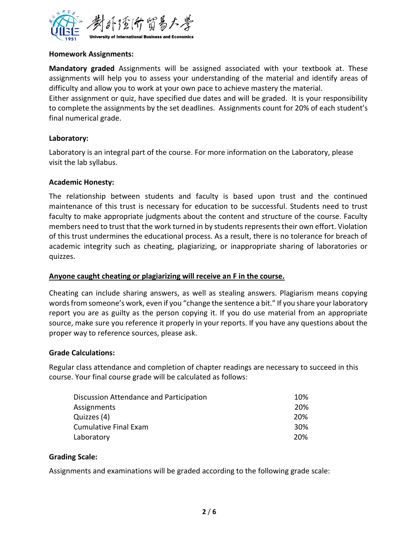

#### **Homework Assignments:**

**Mandatory graded** Assignments will be assigned associated with your textbook at. These assignments will help you to assess your understanding of the material and identify areas of difficulty and allow you to work at your own pace to achieve mastery the material.

Either assignment or quiz, have specified due dates and will be graded. It is your responsibility to complete the assignments by the set deadlines. Assignments count for 20% of each student's final numerical grade.

# **Laboratory:**

Laboratory is an integral part of the course. For more information on the Laboratory, please visit the lab syllabus.

# **Academic Honesty:**

The relationship between students and faculty is based upon trust and the continued maintenance of this trust is necessary for education to be successful. Students need to trust faculty to make appropriate judgments about the content and structure of the course. Faculty members need to trust that the work turned in by students represents their own effort. Violation of this trust undermines the educational process. As a result, there is no tolerance for breach of academic integrity such as cheating, plagiarizing, or inappropriate sharing of laboratories or quizzes.

#### **Anyone caught cheating or plagiarizing will receive an F in the course.**

Cheating can include sharing answers, as well as stealing answers. Plagiarism means copying words from someone's work, even if you "change the sentence a bit." If you share your laboratory report you are as guilty as the person copying it. If you do use material from an appropriate source, make sure you reference it properly in your reports. If you have any questions about the proper way to reference sources, please ask.

#### **Grade Calculations:**

Regular class attendance and completion of chapter readings are necessary to succeed in this course. Your final course grade will be calculated as follows:

| Discussion Attendance and Participation | 10%             |
|-----------------------------------------|-----------------|
| Assignments                             | 20%             |
| Quizzes (4)                             | 20%             |
| <b>Cumulative Final Exam</b>            | 30 <sup>%</sup> |
| Laboratory                              | 20%             |

#### **Grading Scale:**

Assignments and examinations will be graded according to the following grade scale: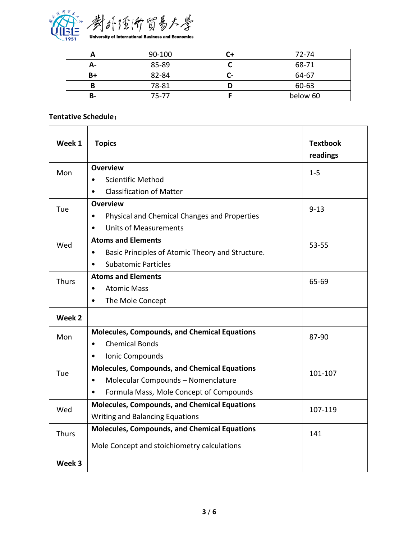

|    | 90-100    | 72-74    |
|----|-----------|----------|
| А- | 85-89     | 68-71    |
| B+ | 82-84     | 64-67    |
| B  | 78-81     | 60-63    |
| в- | $75 - 77$ | below 60 |

# **Tentative Schedule**:

| Week 1       | <b>Topics</b>                                                 | <b>Textbook</b><br>readings |
|--------------|---------------------------------------------------------------|-----------------------------|
| Mon          | <b>Overview</b>                                               | $1 - 5$                     |
|              | <b>Scientific Method</b>                                      |                             |
|              | <b>Classification of Matter</b><br>$\bullet$                  |                             |
| Tue          | <b>Overview</b>                                               | $9 - 13$                    |
|              | Physical and Chemical Changes and Properties<br>$\bullet$     |                             |
|              | <b>Units of Measurements</b><br>$\bullet$                     |                             |
| Wed          | <b>Atoms and Elements</b>                                     | 53-55                       |
|              | Basic Principles of Atomic Theory and Structure.<br>$\bullet$ |                             |
|              | <b>Subatomic Particles</b><br>$\bullet$                       |                             |
| <b>Thurs</b> | <b>Atoms and Elements</b>                                     | 65-69                       |
|              | <b>Atomic Mass</b><br>$\bullet$                               |                             |
|              | The Mole Concept<br>$\bullet$                                 |                             |
| Week 2       |                                                               |                             |
| Mon          | <b>Molecules, Compounds, and Chemical Equations</b>           | 87-90                       |
|              | <b>Chemical Bonds</b><br>$\bullet$                            |                             |
|              | Ionic Compounds<br>$\bullet$                                  |                             |
| Tue          | <b>Molecules, Compounds, and Chemical Equations</b>           | 101-107                     |
|              | Molecular Compounds - Nomenclature<br>$\bullet$               |                             |
|              | Formula Mass, Mole Concept of Compounds<br>$\bullet$          |                             |
| Wed          | <b>Molecules, Compounds, and Chemical Equations</b>           | 107-119                     |
|              | <b>Writing and Balancing Equations</b>                        |                             |
| <b>Thurs</b> | <b>Molecules, Compounds, and Chemical Equations</b>           | 141                         |
|              | Mole Concept and stoichiometry calculations                   |                             |
| Week 3       |                                                               |                             |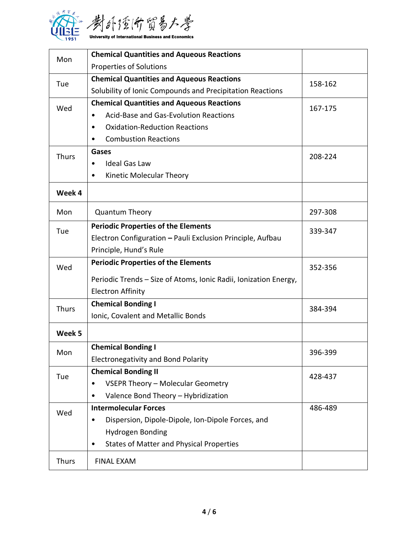

| Mon          | <b>Chemical Quantities and Aqueous Reactions</b>                 |         |
|--------------|------------------------------------------------------------------|---------|
|              | <b>Properties of Solutions</b>                                   |         |
| Tue          | <b>Chemical Quantities and Aqueous Reactions</b>                 | 158-162 |
|              | Solubility of Ionic Compounds and Precipitation Reactions        |         |
| Wed          | <b>Chemical Quantities and Aqueous Reactions</b>                 | 167-175 |
|              | <b>Acid-Base and Gas-Evolution Reactions</b><br>$\bullet$        |         |
|              | <b>Oxidation-Reduction Reactions</b><br>$\bullet$                |         |
|              | <b>Combustion Reactions</b><br>$\bullet$                         |         |
| <b>Thurs</b> | Gases                                                            | 208-224 |
|              | <b>Ideal Gas Law</b><br>$\bullet$                                |         |
|              | Kinetic Molecular Theory<br>$\bullet$                            |         |
| Week 4       |                                                                  |         |
| Mon          | <b>Quantum Theory</b>                                            | 297-308 |
| Tue          | <b>Periodic Properties of the Elements</b>                       | 339-347 |
|              | Electron Configuration - Pauli Exclusion Principle, Aufbau       |         |
|              | Principle, Hund's Rule                                           |         |
| Wed          | <b>Periodic Properties of the Elements</b>                       | 352-356 |
|              | Periodic Trends - Size of Atoms, Ionic Radii, Ionization Energy, |         |
|              | <b>Electron Affinity</b>                                         |         |
| <b>Thurs</b> | <b>Chemical Bonding I</b>                                        | 384-394 |
|              | Ionic, Covalent and Metallic Bonds                               |         |
| Week 5       |                                                                  |         |
| Mon          | <b>Chemical Bonding I</b>                                        | 396-399 |
|              | <b>Electronegativity and Bond Polarity</b>                       |         |
| Tue          | <b>Chemical Bonding II</b>                                       | 428-437 |
|              | VSEPR Theory - Molecular Geometry<br>٠                           |         |
|              | Valence Bond Theory - Hybridization<br>٠                         |         |
| Wed          | <b>Intermolecular Forces</b>                                     | 486-489 |
|              | Dispersion, Dipole-Dipole, Ion-Dipole Forces, and<br>٠           |         |
|              | Hydrogen Bonding                                                 |         |
|              | <b>States of Matter and Physical Properties</b><br>٠             |         |
| <b>Thurs</b> | <b>FINAL EXAM</b>                                                |         |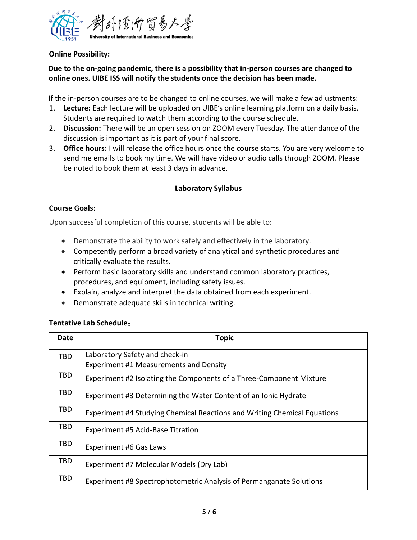

**Online Possibility:**

# **Due to the on-going pandemic, there is a possibility that in-person courses are changed to online ones. UIBE ISS will notify the students once the decision has been made.**

If the in-person courses are to be changed to online courses, we will make a few adjustments:

- 1. **Lecture:** Each lecture will be uploaded on UIBE's online learning platform on a daily basis. Students are required to watch them according to the course schedule.
- 2. **Discussion:** There will be an open session on ZOOM every Tuesday. The attendance of the discussion is important as it is part of your final score.
- 3. **Office hours:** I will release the office hours once the course starts. You are very welcome to send me emails to book my time. We will have video or audio calls through ZOOM. Please be noted to book them at least 3 days in advance.

# **Laboratory Syllabus**

# **Course Goals:**

Upon successful completion of this course, students will be able to:

- Demonstrate the ability to work safely and effectively in the laboratory.
- Competently perform a broad variety of analytical and synthetic procedures and critically evaluate the results.
- Perform basic laboratory skills and understand common laboratory practices, procedures, and equipment, including safety issues.
- Explain, analyze and interpret the data obtained from each experiment.
- Demonstrate adequate skills in technical writing.

#### **Tentative Lab Schedule**:

| <b>Date</b> | <b>Topic</b>                                                             |
|-------------|--------------------------------------------------------------------------|
| TBD         | Laboratory Safety and check-in                                           |
|             | Experiment #1 Measurements and Density                                   |
| TBD         | Experiment #2 Isolating the Components of a Three-Component Mixture      |
| TBD         | Experiment #3 Determining the Water Content of an Ionic Hydrate          |
| <b>TBD</b>  | Experiment #4 Studying Chemical Reactions and Writing Chemical Equations |
| TBD         | Experiment #5 Acid-Base Titration                                        |
| TBD         | Experiment #6 Gas Laws                                                   |
| TBD         | Experiment #7 Molecular Models (Dry Lab)                                 |
| <b>TBD</b>  | Experiment #8 Spectrophotometric Analysis of Permanganate Solutions      |